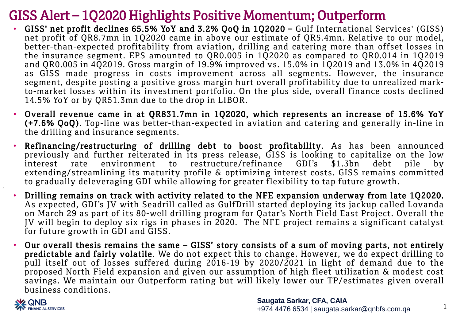## GISS Alert – 1Q2020 Highlights Positive Momentum; Outperform

- GISS' net profit declines 65.5% YoY and 3.2% QoQ in 1Q2020 Gulf International Services' (GISS) net profit of QR8.7mn in 1Q2020 came in above our estimate of QR5.4mn. Relative to our model, better-than-expected profitability from aviation, drilling and catering more than offset losses in the insurance segment. EPS amounted to QR0.005 in 1Q2020 as compared to QR0.014 in 1Q2019 and QR0.005 in 4Q2019. Gross margin of 19.9% improved vs. 15.0% in 1Q2019 and 13.0% in 4Q2019 as GISS made progress in costs improvement across all segments. However, the insurance segment, despite posting a positive gross margin hurt overall profitability due to unrealized markto-market losses within its investment portfolio. On the plus side, overall finance costs declined 14.5% YoY or by QR51.3mn due to the drop in LIBOR.
- Overall revenue came in at QR831.7mn in 1Q2020, which represents an increase of 15.6% YoY (+7.6% QoQ). Top-line was better-than-expected in aviation and catering and generally in-line in the drilling and insurance segments.
- Refinancing/restructuring of drilling debt to boost profitability. As has been announced previously and further reiterated in its press release, GISS is looking to capitalize on the low interest rate environment to restructure/refinance GDI's \$1.3bn debt pile by extending/streamlining its maturity profile & optimizing interest costs. GISS remains committed to gradually deleveraging GDI while allowing for greater flexibility to tap future growth.
- Drilling remains on track with activity related to the NFE expansion underway from late 1Q2020. As expected, GDI's JV with Seadrill called as GulfDrill started deploying its jackup called Lovanda on March 29 as part of its 80-well drilling program for Qatar's North Field East Project. Overall the JV will begin to deploy six rigs in phases in 2020. The NFE project remains a significant catalyst for future growth in GDI and GISS.
- Our overall thesis remains the same GISS' story consists of a sum of moving parts, not entirely predictable and fairly volatile. We do not expect this to change. However, we do expect drilling to pull itself out of losses suffered during 2016-19 by 2020/2021 in light of demand due to the proposed North Field expansion and given our assumption of high fleet utilization & modest cost savings. We maintain our Outperform rating but will likely lower our TP/estimates given overall business conditions.



1